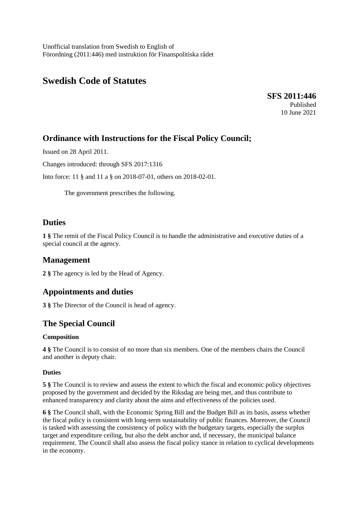Unofficial translation from Swedish to English of Förordning (2011:446) med instruktion för Finanspolitiska rådet

# **Swedish Code of Statutes**

**SFS 2011:446** Published 10 June 2021

## **Ordinance with Instructions for the Fiscal Policy Council;**

Issued on 28 April 2011.

Changes introduced: through SFS 2017:1316

Into force: 11 § and 11 a § on 2018-07-01, others on 2018-02-01.

The government prescribes the following.

### **Duties**

**1 §** The remit of the Fiscal Policy Council is to handle the administrative and executive duties of a special council at the agency.

### **Management**

**2 §** The agency is led by the Head of Agency.

### **Appointments and duties**

**3 §** The Director of the Council is head of agency.

## **The Special Council**

#### **Composition**

**4 §** The Council is to consist of no more than six members. One of the members chairs the Council and another is deputy chair.

#### **Duties**

**5 §** The Council is to review and assess the extent to which the fiscal and economic policy objectives proposed by the government and decided by the Riksdag are being met, and thus contribute to enhanced transparency and clarity about the aims and effectiveness of the policies used.

**6 §** The Council shall, with the Economic Spring Bill and the Budget Bill as its basis, assess whether the fiscal policy is consistent with long-term sustainability of public finances. Moreover, the Council is tasked with assessing the consistency of policy with the budgetary targets, especially the surplus target and expenditure ceiling, but also the debt anchor and, if necessary, the municipal balance requirement. The Council shall also assess the fiscal policy stance in relation to cyclical developments in the economy.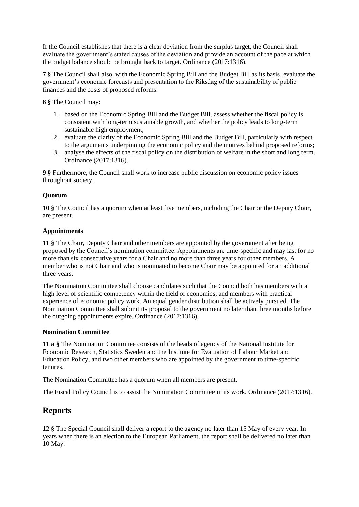If the Council establishes that there is a clear deviation from the surplus target, the Council shall evaluate the government's stated causes of the deviation and provide an account of the pace at which the budget balance should be brought back to target. Ordinance (2017:1316).

**7 §** The Council shall also, with the Economic Spring Bill and the Budget Bill as its basis, evaluate the government's economic forecasts and presentation to the Riksdag of the sustainability of public finances and the costs of proposed reforms.

**8 §** The Council may:

- 1. based on the Economic Spring Bill and the Budget Bill, assess whether the fiscal policy is consistent with long-term sustainable growth, and whether the policy leads to long-term sustainable high employment;
- 2. evaluate the clarity of the Economic Spring Bill and the Budget Bill, particularly with respect to the arguments underpinning the economic policy and the motives behind proposed reforms;
- 3. analyse the effects of the fiscal policy on the distribution of welfare in the short and long term. Ordinance (2017:1316).

**9 §** Furthermore, the Council shall work to increase public discussion on economic policy issues throughout society.

#### **Quorum**

**10 §** The Council has a quorum when at least five members, including the Chair or the Deputy Chair, are present.

#### **Appointments**

**11 §** The Chair, Deputy Chair and other members are appointed by the government after being proposed by the Council's nomination committee. Appointments are time-specific and may last for no more than six consecutive years for a Chair and no more than three years for other members. A member who is not Chair and who is nominated to become Chair may be appointed for an additional three years.

The Nomination Committee shall choose candidates such that the Council both has members with a high level of scientific competency within the field of economics, and members with practical experience of economic policy work. An equal gender distribution shall be actively pursued. The Nomination Committee shall submit its proposal to the government no later than three months before the outgoing appointments expire. Ordinance (2017:1316).

#### **Nomination Committee**

**11 a §** The Nomination Committee consists of the heads of agency of the National Institute for Economic Research, Statistics Sweden and the Institute for Evaluation of Labour Market and Education Policy, and two other members who are appointed by the government to time-specific tenures.

The Nomination Committee has a quorum when all members are present.

The Fiscal Policy Council is to assist the Nomination Committee in its work. Ordinance (2017:1316).

## **Reports**

**12 §** The Special Council shall deliver a report to the agency no later than 15 May of every year. In years when there is an election to the European Parliament, the report shall be delivered no later than 10 May.